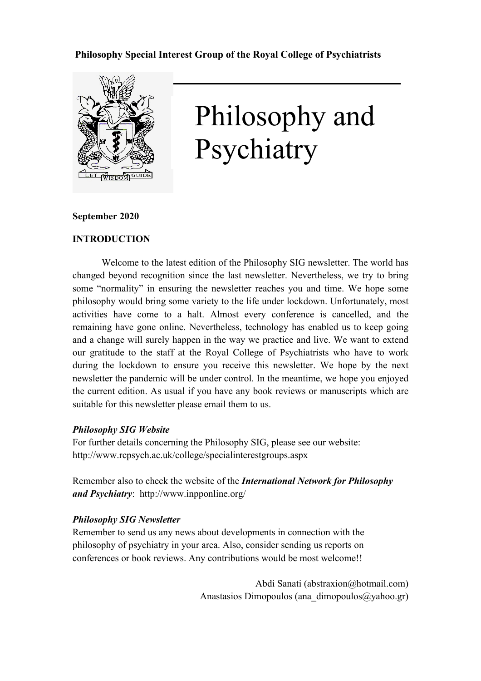## **Philosophy Special Interest Group of the Royal College of Psychiatrists**



# Philosophy and Psychiatry

## **September 2020**

## **INTRODUCTION**

Welcome to the latest edition of the Philosophy SIG newsletter. The world has changed beyond recognition since the last newsletter. Nevertheless, we try to bring some "normality" in ensuring the newsletter reaches you and time. We hope some philosophy would bring some variety to the life under lockdown. Unfortunately, most activities have come to a halt. Almost every conference is cancelled, and the remaining have gone online. Nevertheless, technology has enabled us to keep going and a change will surely happen in the way we practice and live. We want to extend our gratitude to the staff at the Royal College of Psychiatrists who have to work during the lockdown to ensure you receive this newsletter. We hope by the next newsletter the pandemic will be under control. In the meantime, we hope you enjoyed the current edition. As usual if you have any book reviews or manuscripts which are suitable for this newsletter please email them to us.

## *Philosophy SIG Website*

For further details concerning the Philosophy SIG, please see our website: http://www.rcpsych.ac.uk/college/specialinterestgroups.aspx

Remember also to check the website of the *International Network for Philosophy and Psychiatry*: http://www.inpponline.org/

## *Philosophy SIG Newsletter*

Remember to send us any news about developments in connection with the philosophy of psychiatry in your area. Also, consider sending us reports on conferences or book reviews. Any contributions would be most welcome!!

> Abdi Sanati (abstraxion@hotmail.com) Anastasios Dimopoulos (ana\_dimopoulos $(\partial ya hoo.gr)$ )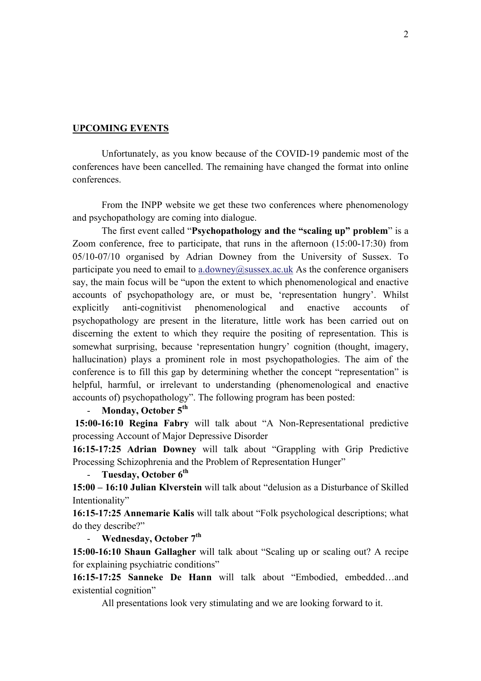## **UPCOMING EVENTS**

Unfortunately, as you know because of the COVID-19 pandemic most of the conferences have been cancelled. The remaining have changed the format into online conferences.

From the INPP website we get these two conferences where phenomenology and psychopathology are coming into dialogue.

The first event called "**Psychopathology and the "scaling up" problem**" is a Zoom conference, free to participate, that runs in the afternoon (15:00-17:30) from 05/10-07/10 organised by Adrian Downey from the University of Sussex. To participate you need to email to a.downey@sussex.ac.uk As the conference organisers say, the main focus will be "upon the extent to which phenomenological and enactive accounts of psychopathology are, or must be, 'representation hungry'. Whilst explicitly anti-cognitivist phenomenological and enactive accounts of psychopathology are present in the literature, little work has been carried out on discerning the extent to which they require the positing of representation. This is somewhat surprising, because 'representation hungry' cognition (thought, imagery, hallucination) plays a prominent role in most psychopathologies. The aim of the conference is to fill this gap by determining whether the concept "representation" is helpful, harmful, or irrelevant to understanding (phenomenological and enactive accounts of) psychopathology". The following program has been posted:

## - **Monday, October 5th**

**15:00-16:10 Regina Fabry** will talk about "A Non-Representational predictive processing Account of Major Depressive Disorder

**16:15-17:25 Adrian Downey** will talk about "Grappling with Grip Predictive Processing Schizophrenia and the Problem of Representation Hunger"

## - **Tuesday, October 6th**

**15:00 – 16:10 Julian Klverstein** will talk about "delusion as a Disturbance of Skilled Intentionality"

**16:15-17:25 Annemarie Kalis** will talk about "Folk psychological descriptions; what do they describe?"

## - **Wednesday, October 7th**

**15:00-16:10 Shaun Gallagher** will talk about "Scaling up or scaling out? A recipe for explaining psychiatric conditions"

**16:15-17:25 Sanneke De Hann** will talk about "Embodied, embedded…and existential cognition"

All presentations look very stimulating and we are looking forward to it.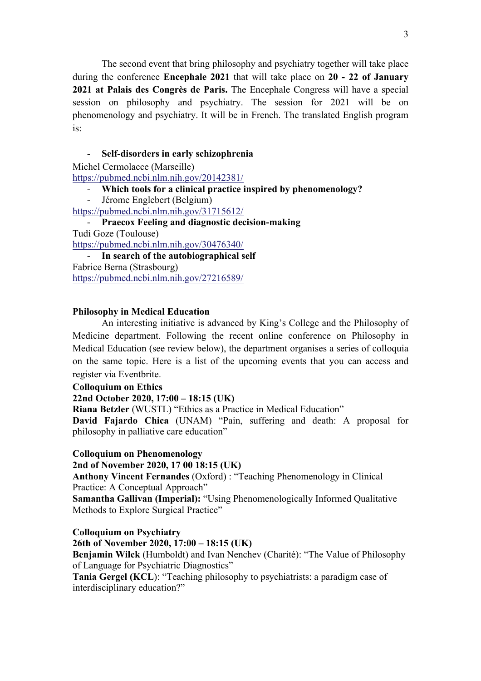The second event that bring philosophy and psychiatry together will take place during the conference **Encephale 2021** that will take place on **20 - 22 of January 2021 at Palais des Congrès de Paris.** The Encephale Congress will have a special session on philosophy and psychiatry. The session for 2021 will be on phenomenology and psychiatry. It will be in French. The translated English program is:

## - **Self-disorders in early schizophrenia**

Michel Cermolacce (Marseille)

https://pubmed.ncbi.nlm.nih.gov/20142381/

- **Which tools for a clinical practice inspired by phenomenology?**
- Jérome Englebert (Belgium)
- https://pubmed.ncbi.nlm.nih.gov/31715612/

- **Praecox Feeling and diagnostic decision-making** Tudi Goze (Toulouse) https://pubmed.ncbi.nlm.nih.gov/30476340/

- **In search of the autobiographical self** Fabrice Berna (Strasbourg) https://pubmed.ncbi.nlm.nih.gov/27216589/

## **Philosophy in Medical Education**

An interesting initiative is advanced by King's College and the Philosophy of Medicine department. Following the recent online conference on Philosophy in Medical Education (see review below), the department organises a series of colloquia on the same topic. Here is a list of the upcoming events that you can access and register via Eventbrite.

## **Colloquium on Ethics**

## **22nd October 2020, 17:00 – 18:15 (UK)**

**Riana Betzler** (WUSTL) "Ethics as a Practice in Medical Education"

**David Fajardo Chica** (UNAM) "Pain, suffering and death: A proposal for philosophy in palliative care education"

#### **Colloquium on Phenomenology**

**2nd of November 2020, 17 00 18:15 (UK)**

**Anthony Vincent Fernandes** (Oxford) : "Teaching Phenomenology in Clinical Practice: A Conceptual Approach"

**Samantha Gallivan (Imperial):** "Using Phenomenologically Informed Qualitative Methods to Explore Surgical Practice"

## **Colloquium on Psychiatry**

## **26th of November 2020, 17:00 – 18:15 (UK)**

**Benjamin Wilck** (Humboldt) and Ivan Nenchev (Charité): "The Value of Philosophy of Language for Psychiatric Diagnostics"

**Tania Gergel (KCL**): "Teaching philosophy to psychiatrists: a paradigm case of interdisciplinary education?"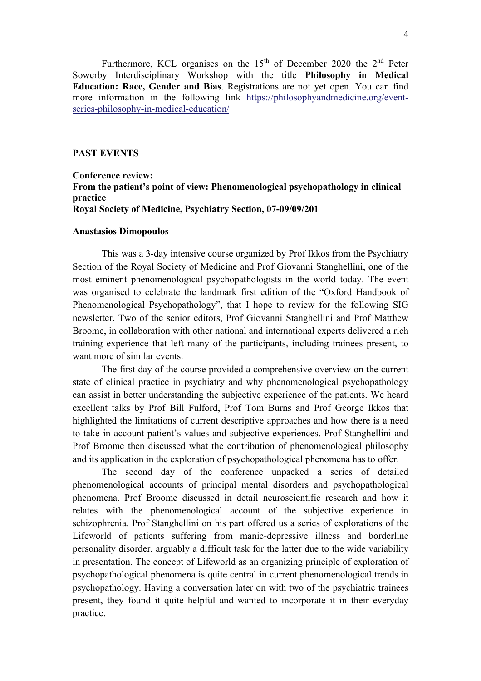Furthermore, KCL organises on the  $15<sup>th</sup>$  of December 2020 the  $2<sup>nd</sup>$  Peter Sowerby Interdisciplinary Workshop with the title **Philosophy in Medical Education: Race, Gender and Bias**. Registrations are not yet open. You can find more information in the following link https://philosophyandmedicine.org/eventseries-philosophy-in-medical-education/

## **PAST EVENTS**

## **Conference review: From the patient's point of view: Phenomenological psychopathology in clinical practice Royal Society of Medicine, Psychiatry Section, 07-09/09/201**

#### **Anastasios Dimopoulos**

This was a 3-day intensive course organized by Prof Ikkos from the Psychiatry Section of the Royal Society of Medicine and Prof Giovanni Stanghellini, one of the most eminent phenomenological psychopathologists in the world today. The event was organised to celebrate the landmark first edition of the "Oxford Handbook of Phenomenological Psychopathology", that I hope to review for the following SIG newsletter. Two of the senior editors, Prof Giovanni Stanghellini and Prof Matthew Broome, in collaboration with other national and international experts delivered a rich training experience that left many of the participants, including trainees present, to want more of similar events.

The first day of the course provided a comprehensive overview on the current state of clinical practice in psychiatry and why phenomenological psychopathology can assist in better understanding the subjective experience of the patients. We heard excellent talks by Prof Bill Fulford, Prof Tom Burns and Prof George Ikkos that highlighted the limitations of current descriptive approaches and how there is a need to take in account patient's values and subjective experiences. Prof Stanghellini and Prof Broome then discussed what the contribution of phenomenological philosophy and its application in the exploration of psychopathological phenomena has to offer.

The second day of the conference unpacked a series of detailed phenomenological accounts of principal mental disorders and psychopathological phenomena. Prof Broome discussed in detail neuroscientific research and how it relates with the phenomenological account of the subjective experience in schizophrenia. Prof Stanghellini on his part offered us a series of explorations of the Lifeworld of patients suffering from manic-depressive illness and borderline personality disorder, arguably a difficult task for the latter due to the wide variability in presentation. The concept of Lifeworld as an organizing principle of exploration of psychopathological phenomena is quite central in current phenomenological trends in psychopathology. Having a conversation later on with two of the psychiatric trainees present, they found it quite helpful and wanted to incorporate it in their everyday practice.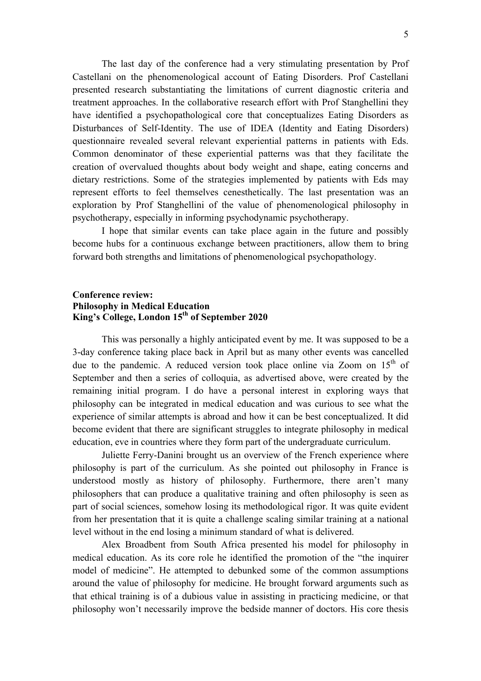The last day of the conference had a very stimulating presentation by Prof Castellani on the phenomenological account of Eating Disorders. Prof Castellani presented research substantiating the limitations of current diagnostic criteria and treatment approaches. In the collaborative research effort with Prof Stanghellini they have identified a psychopathological core that conceptualizes Eating Disorders as Disturbances of Self-Identity. The use of IDEA (Identity and Eating Disorders) questionnaire revealed several relevant experiential patterns in patients with Eds. Common denominator of these experiential patterns was that they facilitate the creation of overvalued thoughts about body weight and shape, eating concerns and dietary restrictions. Some of the strategies implemented by patients with Eds may represent efforts to feel themselves cenesthetically. The last presentation was an exploration by Prof Stanghellini of the value of phenomenological philosophy in psychotherapy, especially in informing psychodynamic psychotherapy.

I hope that similar events can take place again in the future and possibly become hubs for a continuous exchange between practitioners, allow them to bring forward both strengths and limitations of phenomenological psychopathology.

## **Conference review: Philosophy in Medical Education King's College, London 15th of September 2020**

This was personally a highly anticipated event by me. It was supposed to be a 3-day conference taking place back in April but as many other events was cancelled due to the pandemic. A reduced version took place online via Zoom on 15<sup>th</sup> of September and then a series of colloquia, as advertised above, were created by the remaining initial program. I do have a personal interest in exploring ways that philosophy can be integrated in medical education and was curious to see what the experience of similar attempts is abroad and how it can be best conceptualized. It did become evident that there are significant struggles to integrate philosophy in medical education, eve in countries where they form part of the undergraduate curriculum.

Juliette Ferry-Danini brought us an overview of the French experience where philosophy is part of the curriculum. As she pointed out philosophy in France is understood mostly as history of philosophy. Furthermore, there aren't many philosophers that can produce a qualitative training and often philosophy is seen as part of social sciences, somehow losing its methodological rigor. It was quite evident from her presentation that it is quite a challenge scaling similar training at a national level without in the end losing a minimum standard of what is delivered.

Alex Broadbent from South Africa presented his model for philosophy in medical education. As its core role he identified the promotion of the "the inquirer model of medicine". He attempted to debunked some of the common assumptions around the value of philosophy for medicine. He brought forward arguments such as that ethical training is of a dubious value in assisting in practicing medicine, or that philosophy won't necessarily improve the bedside manner of doctors. His core thesis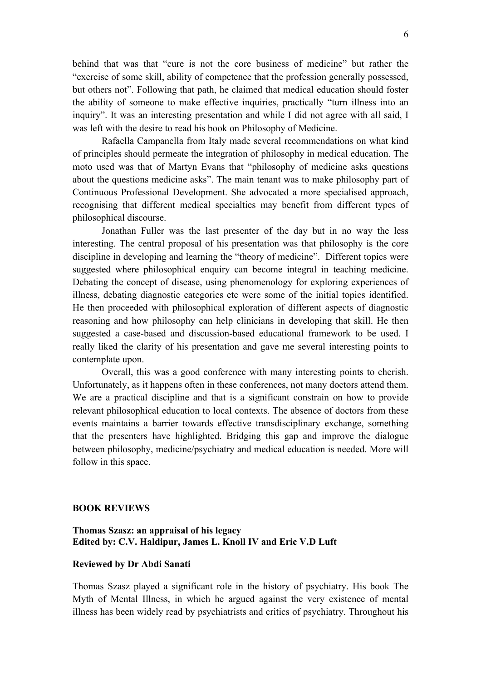behind that was that "cure is not the core business of medicine" but rather the "exercise of some skill, ability of competence that the profession generally possessed, but others not". Following that path, he claimed that medical education should foster the ability of someone to make effective inquiries, practically "turn illness into an inquiry". It was an interesting presentation and while I did not agree with all said, I was left with the desire to read his book on Philosophy of Medicine.

Rafaella Campanella from Italy made several recommendations on what kind of principles should permeate the integration of philosophy in medical education. The moto used was that of Martyn Evans that "philosophy of medicine asks questions about the questions medicine asks". The main tenant was to make philosophy part of Continuous Professional Development. She advocated a more specialised approach, recognising that different medical specialties may benefit from different types of philosophical discourse.

Jonathan Fuller was the last presenter of the day but in no way the less interesting. The central proposal of his presentation was that philosophy is the core discipline in developing and learning the "theory of medicine". Different topics were suggested where philosophical enquiry can become integral in teaching medicine. Debating the concept of disease, using phenomenology for exploring experiences of illness, debating diagnostic categories etc were some of the initial topics identified. He then proceeded with philosophical exploration of different aspects of diagnostic reasoning and how philosophy can help clinicians in developing that skill. He then suggested a case-based and discussion-based educational framework to be used. I really liked the clarity of his presentation and gave me several interesting points to contemplate upon.

Overall, this was a good conference with many interesting points to cherish. Unfortunately, as it happens often in these conferences, not many doctors attend them. We are a practical discipline and that is a significant constrain on how to provide relevant philosophical education to local contexts. The absence of doctors from these events maintains a barrier towards effective transdisciplinary exchange, something that the presenters have highlighted. Bridging this gap and improve the dialogue between philosophy, medicine/psychiatry and medical education is needed. More will follow in this space.

## **BOOK REVIEWS**

## **Thomas Szasz: an appraisal of his legacy Edited by: C.V. Haldipur, James L. Knoll IV and Eric V.D Luft**

#### **Reviewed by Dr Abdi Sanati**

Thomas Szasz played a significant role in the history of psychiatry. His book The Myth of Mental Illness, in which he argued against the very existence of mental illness has been widely read by psychiatrists and critics of psychiatry. Throughout his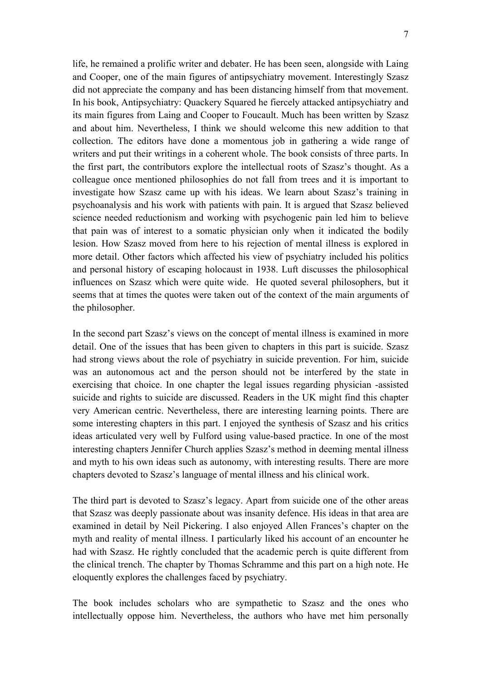life, he remained a prolific writer and debater. He has been seen, alongside with Laing and Cooper, one of the main figures of antipsychiatry movement. Interestingly Szasz did not appreciate the company and has been distancing himself from that movement. In his book, Antipsychiatry: Quackery Squared he fiercely attacked antipsychiatry and its main figures from Laing and Cooper to Foucault. Much has been written by Szasz and about him. Nevertheless, I think we should welcome this new addition to that collection. The editors have done a momentous job in gathering a wide range of writers and put their writings in a coherent whole. The book consists of three parts. In the first part, the contributors explore the intellectual roots of Szasz's thought. As a colleague once mentioned philosophies do not fall from trees and it is important to investigate how Szasz came up with his ideas. We learn about Szasz's training in psychoanalysis and his work with patients with pain. It is argued that Szasz believed science needed reductionism and working with psychogenic pain led him to believe that pain was of interest to a somatic physician only when it indicated the bodily lesion. How Szasz moved from here to his rejection of mental illness is explored in more detail. Other factors which affected his view of psychiatry included his politics and personal history of escaping holocaust in 1938. Luft discusses the philosophical influences on Szasz which were quite wide. He quoted several philosophers, but it seems that at times the quotes were taken out of the context of the main arguments of the philosopher.

In the second part Szasz's views on the concept of mental illness is examined in more detail. One of the issues that has been given to chapters in this part is suicide. Szasz had strong views about the role of psychiatry in suicide prevention. For him, suicide was an autonomous act and the person should not be interfered by the state in exercising that choice. In one chapter the legal issues regarding physician -assisted suicide and rights to suicide are discussed. Readers in the UK might find this chapter very American centric. Nevertheless, there are interesting learning points. There are some interesting chapters in this part. I enjoyed the synthesis of Szasz and his critics ideas articulated very well by Fulford using value-based practice. In one of the most interesting chapters Jennifer Church applies Szasz's method in deeming mental illness and myth to his own ideas such as autonomy, with interesting results. There are more chapters devoted to Szasz's language of mental illness and his clinical work.

The third part is devoted to Szasz's legacy. Apart from suicide one of the other areas that Szasz was deeply passionate about was insanity defence. His ideas in that area are examined in detail by Neil Pickering. I also enjoyed Allen Frances's chapter on the myth and reality of mental illness. I particularly liked his account of an encounter he had with Szasz. He rightly concluded that the academic perch is quite different from the clinical trench. The chapter by Thomas Schramme and this part on a high note. He eloquently explores the challenges faced by psychiatry.

The book includes scholars who are sympathetic to Szasz and the ones who intellectually oppose him. Nevertheless, the authors who have met him personally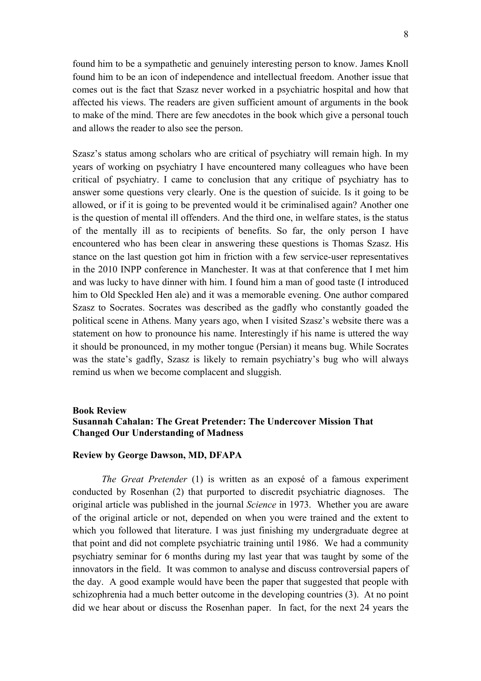found him to be a sympathetic and genuinely interesting person to know. James Knoll found him to be an icon of independence and intellectual freedom. Another issue that comes out is the fact that Szasz never worked in a psychiatric hospital and how that affected his views. The readers are given sufficient amount of arguments in the book to make of the mind. There are few anecdotes in the book which give a personal touch and allows the reader to also see the person.

Szasz's status among scholars who are critical of psychiatry will remain high. In my years of working on psychiatry I have encountered many colleagues who have been critical of psychiatry. I came to conclusion that any critique of psychiatry has to answer some questions very clearly. One is the question of suicide. Is it going to be allowed, or if it is going to be prevented would it be criminalised again? Another one is the question of mental ill offenders. And the third one, in welfare states, is the status of the mentally ill as to recipients of benefits. So far, the only person I have encountered who has been clear in answering these questions is Thomas Szasz. His stance on the last question got him in friction with a few service-user representatives in the 2010 INPP conference in Manchester. It was at that conference that I met him and was lucky to have dinner with him. I found him a man of good taste (I introduced him to Old Speckled Hen ale) and it was a memorable evening. One author compared Szasz to Socrates. Socrates was described as the gadfly who constantly goaded the political scene in Athens. Many years ago, when I visited Szasz's website there was a statement on how to pronounce his name. Interestingly if his name is uttered the way it should be pronounced, in my mother tongue (Persian) it means bug. While Socrates was the state's gadfly, Szasz is likely to remain psychiatry's bug who will always remind us when we become complacent and sluggish.

#### **Book Review**

## **Susannah Cahalan: The Great Pretender: The Undercover Mission That Changed Our Understanding of Madness**

## **Review by George Dawson, MD, DFAPA**

*The Great Pretender* (1) is written as an exposé of a famous experiment conducted by Rosenhan (2) that purported to discredit psychiatric diagnoses. The original article was published in the journal *Science* in 1973. Whether you are aware of the original article or not, depended on when you were trained and the extent to which you followed that literature. I was just finishing my undergraduate degree at that point and did not complete psychiatric training until 1986. We had a community psychiatry seminar for 6 months during my last year that was taught by some of the innovators in the field. It was common to analyse and discuss controversial papers of the day. A good example would have been the paper that suggested that people with schizophrenia had a much better outcome in the developing countries (3). At no point did we hear about or discuss the Rosenhan paper. In fact, for the next 24 years the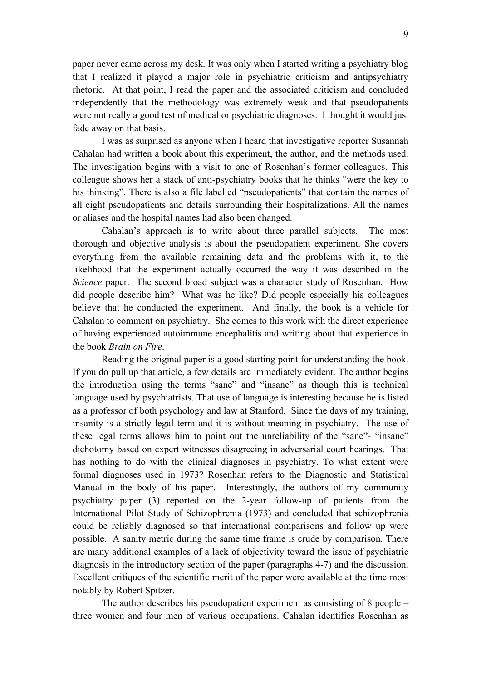paper never came across my desk. It was only when I started writing a psychiatry blog that I realized it played a major role in psychiatric criticism and antipsychiatry rhetoric. At that point, I read the paper and the associated criticism and concluded independently that the methodology was extremely weak and that pseudopatients were not really a good test of medical or psychiatric diagnoses. I thought it would just fade away on that basis.

I was as surprised as anyone when I heard that investigative reporter Susannah Cahalan had written a book about this experiment, the author, and the methods used. The investigation begins with a visit to one of Rosenhan's former colleagues. This colleague shows her a stack of anti-psychiatry books that he thinks "were the key to his thinking". There is also a file labelled "pseudopatients" that contain the names of all eight pseudopatients and details surrounding their hospitalizations. All the names or aliases and the hospital names had also been changed.

Cahalan's approach is to write about three parallel subjects. The most thorough and objective analysis is about the pseudopatient experiment. She covers everything from the available remaining data and the problems with it, to the likelihood that the experiment actually occurred the way it was described in the *Science* paper. The second broad subject was a character study of Rosenhan. How did people describe him? What was he like? Did people especially his colleagues believe that he conducted the experiment. And finally, the book is a vehicle for Cahalan to comment on psychiatry. She comes to this work with the direct experience of having experienced autoimmune encephalitis and writing about that experience in the book *Brain on Fire*.

Reading the original paper is a good starting point for understanding the book. If you do pull up that article, a few details are immediately evident. The author begins the introduction using the terms "sane" and "insane" as though this is technical language used by psychiatrists. That use of language is interesting because he is listed as a professor of both psychology and law at Stanford. Since the days of my training, insanity is a strictly legal term and it is without meaning in psychiatry. The use of these legal terms allows him to point out the unreliability of the "sane"- "insane" dichotomy based on expert witnesses disagreeing in adversarial court hearings. That has nothing to do with the clinical diagnoses in psychiatry. To what extent were formal diagnoses used in 1973? Rosenhan refers to the Diagnostic and Statistical Manual in the body of his paper. Interestingly, the authors of my community psychiatry paper (3) reported on the 2-year follow-up of patients from the International Pilot Study of Schizophrenia (1973) and concluded that schizophrenia could be reliably diagnosed so that international comparisons and follow up were possible. A sanity metric during the same time frame is crude by comparison. There are many additional examples of a lack of objectivity toward the issue of psychiatric diagnosis in the introductory section of the paper (paragraphs 4-7) and the discussion. Excellent critiques of the scientific merit of the paper were available at the time most notably by Robert Spitzer.

The author describes his pseudopatient experiment as consisting of 8 people – three women and four men of various occupations. Cahalan identifies Rosenhan as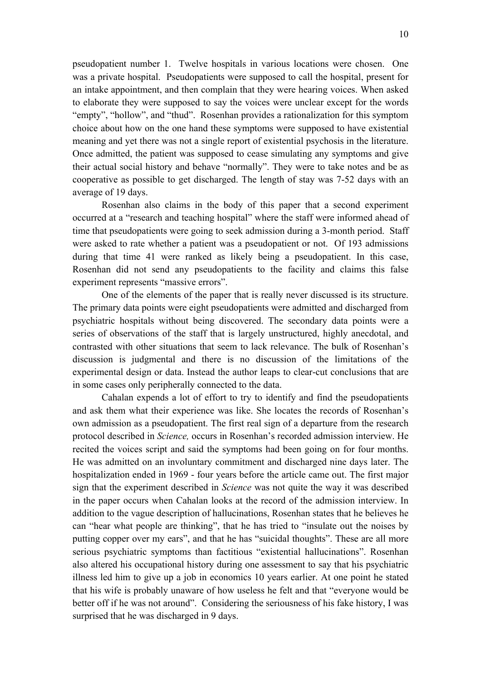pseudopatient number 1. Twelve hospitals in various locations were chosen. One was a private hospital. Pseudopatients were supposed to call the hospital, present for an intake appointment, and then complain that they were hearing voices. When asked to elaborate they were supposed to say the voices were unclear except for the words "empty", "hollow", and "thud". Rosenhan provides a rationalization for this symptom choice about how on the one hand these symptoms were supposed to have existential meaning and yet there was not a single report of existential psychosis in the literature. Once admitted, the patient was supposed to cease simulating any symptoms and give their actual social history and behave "normally". They were to take notes and be as cooperative as possible to get discharged. The length of stay was 7-52 days with an average of 19 days.

Rosenhan also claims in the body of this paper that a second experiment occurred at a "research and teaching hospital" where the staff were informed ahead of time that pseudopatients were going to seek admission during a 3-month period. Staff were asked to rate whether a patient was a pseudopatient or not. Of 193 admissions during that time 41 were ranked as likely being a pseudopatient. In this case, Rosenhan did not send any pseudopatients to the facility and claims this false experiment represents "massive errors".

One of the elements of the paper that is really never discussed is its structure. The primary data points were eight pseudopatients were admitted and discharged from psychiatric hospitals without being discovered. The secondary data points were a series of observations of the staff that is largely unstructured, highly anecdotal, and contrasted with other situations that seem to lack relevance. The bulk of Rosenhan's discussion is judgmental and there is no discussion of the limitations of the experimental design or data. Instead the author leaps to clear-cut conclusions that are in some cases only peripherally connected to the data.

Cahalan expends a lot of effort to try to identify and find the pseudopatients and ask them what their experience was like. She locates the records of Rosenhan's own admission as a pseudopatient. The first real sign of a departure from the research protocol described in *Science,* occurs in Rosenhan's recorded admission interview. He recited the voices script and said the symptoms had been going on for four months. He was admitted on an involuntary commitment and discharged nine days later. The hospitalization ended in 1969 - four years before the article came out. The first major sign that the experiment described in *Science* was not quite the way it was described in the paper occurs when Cahalan looks at the record of the admission interview. In addition to the vague description of hallucinations, Rosenhan states that he believes he can "hear what people are thinking", that he has tried to "insulate out the noises by putting copper over my ears", and that he has "suicidal thoughts". These are all more serious psychiatric symptoms than factitious "existential hallucinations". Rosenhan also altered his occupational history during one assessment to say that his psychiatric illness led him to give up a job in economics 10 years earlier. At one point he stated that his wife is probably unaware of how useless he felt and that "everyone would be better off if he was not around". Considering the seriousness of his fake history, I was surprised that he was discharged in 9 days.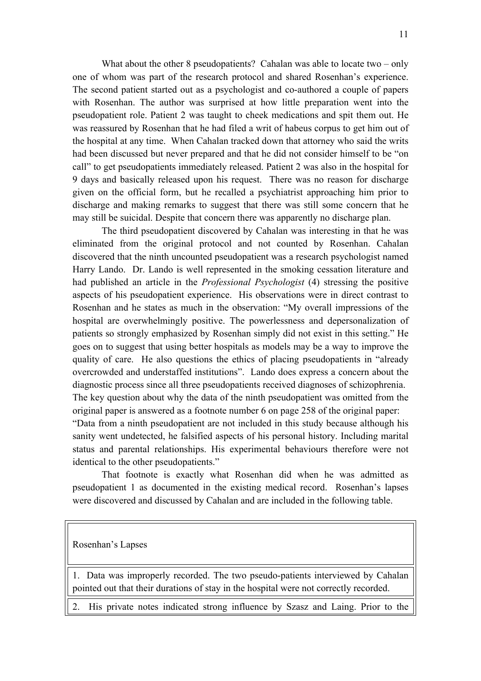What about the other 8 pseudopatients? Cahalan was able to locate two  $-\text{only}$ one of whom was part of the research protocol and shared Rosenhan's experience. The second patient started out as a psychologist and co-authored a couple of papers with Rosenhan. The author was surprised at how little preparation went into the pseudopatient role. Patient 2 was taught to cheek medications and spit them out. He was reassured by Rosenhan that he had filed a writ of habeus corpus to get him out of the hospital at any time. When Cahalan tracked down that attorney who said the writs had been discussed but never prepared and that he did not consider himself to be "on call" to get pseudopatients immediately released. Patient 2 was also in the hospital for 9 days and basically released upon his request. There was no reason for discharge given on the official form, but he recalled a psychiatrist approaching him prior to discharge and making remarks to suggest that there was still some concern that he may still be suicidal. Despite that concern there was apparently no discharge plan.

The third pseudopatient discovered by Cahalan was interesting in that he was eliminated from the original protocol and not counted by Rosenhan. Cahalan discovered that the ninth uncounted pseudopatient was a research psychologist named Harry Lando. Dr. Lando is well represented in the smoking cessation literature and had published an article in the *Professional Psychologist* (4) stressing the positive aspects of his pseudopatient experience. His observations were in direct contrast to Rosenhan and he states as much in the observation: "My overall impressions of the hospital are overwhelmingly positive. The powerlessness and depersonalization of patients so strongly emphasized by Rosenhan simply did not exist in this setting." He goes on to suggest that using better hospitals as models may be a way to improve the quality of care. He also questions the ethics of placing pseudopatients in "already overcrowded and understaffed institutions". Lando does express a concern about the diagnostic process since all three pseudopatients received diagnoses of schizophrenia. The key question about why the data of the ninth pseudopatient was omitted from the original paper is answered as a footnote number 6 on page 258 of the original paper: "Data from a ninth pseudopatient are not included in this study because although his sanity went undetected, he falsified aspects of his personal history. Including marital status and parental relationships. His experimental behaviours therefore were not identical to the other pseudopatients."

That footnote is exactly what Rosenhan did when he was admitted as pseudopatient 1 as documented in the existing medical record. Rosenhan's lapses were discovered and discussed by Cahalan and are included in the following table.

Rosenhan's Lapses

1. Data was improperly recorded. The two pseudo-patients interviewed by Cahalan pointed out that their durations of stay in the hospital were not correctly recorded.

2. His private notes indicated strong influence by Szasz and Laing. Prior to the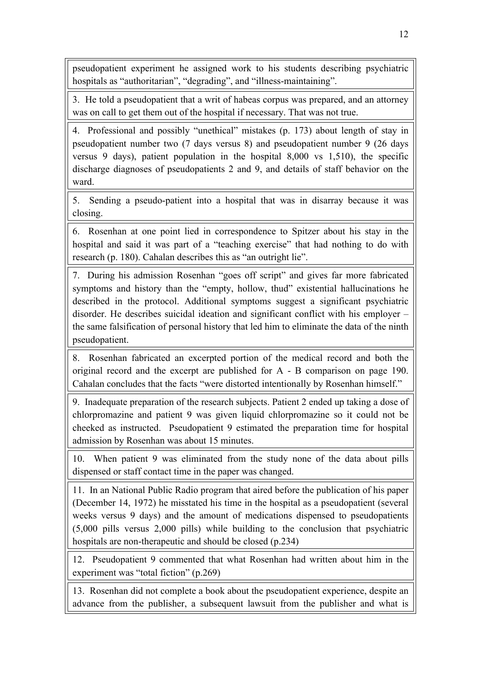pseudopatient experiment he assigned work to his students describing psychiatric hospitals as "authoritarian", "degrading", and "illness-maintaining".

3. He told a pseudopatient that a writ of habeas corpus was prepared, and an attorney was on call to get them out of the hospital if necessary. That was not true.

4. Professional and possibly "unethical" mistakes (p. 173) about length of stay in pseudopatient number two (7 days versus 8) and pseudopatient number 9 (26 days versus 9 days), patient population in the hospital 8,000 vs 1,510), the specific discharge diagnoses of pseudopatients 2 and 9, and details of staff behavior on the ward.

5. Sending a pseudo-patient into a hospital that was in disarray because it was closing.

6. Rosenhan at one point lied in correspondence to Spitzer about his stay in the hospital and said it was part of a "teaching exercise" that had nothing to do with research (p. 180). Cahalan describes this as "an outright lie".

7. During his admission Rosenhan "goes off script" and gives far more fabricated symptoms and history than the "empty, hollow, thud" existential hallucinations he described in the protocol. Additional symptoms suggest a significant psychiatric disorder. He describes suicidal ideation and significant conflict with his employer – the same falsification of personal history that led him to eliminate the data of the ninth pseudopatient.

8. Rosenhan fabricated an excerpted portion of the medical record and both the original record and the excerpt are published for A - B comparison on page 190. Cahalan concludes that the facts "were distorted intentionally by Rosenhan himself."

9. Inadequate preparation of the research subjects. Patient 2 ended up taking a dose of chlorpromazine and patient 9 was given liquid chlorpromazine so it could not be cheeked as instructed. Pseudopatient 9 estimated the preparation time for hospital admission by Rosenhan was about 15 minutes.

10. When patient 9 was eliminated from the study none of the data about pills dispensed or staff contact time in the paper was changed.

11. In an National Public Radio program that aired before the publication of his paper (December 14, 1972) he misstated his time in the hospital as a pseudopatient (several weeks versus 9 days) and the amount of medications dispensed to pseudopatients (5,000 pills versus 2,000 pills) while building to the conclusion that psychiatric hospitals are non-therapeutic and should be closed (p.234)

12. Pseudopatient 9 commented that what Rosenhan had written about him in the experiment was "total fiction" (p.269)

13. Rosenhan did not complete a book about the pseudopatient experience, despite an advance from the publisher, a subsequent lawsuit from the publisher and what is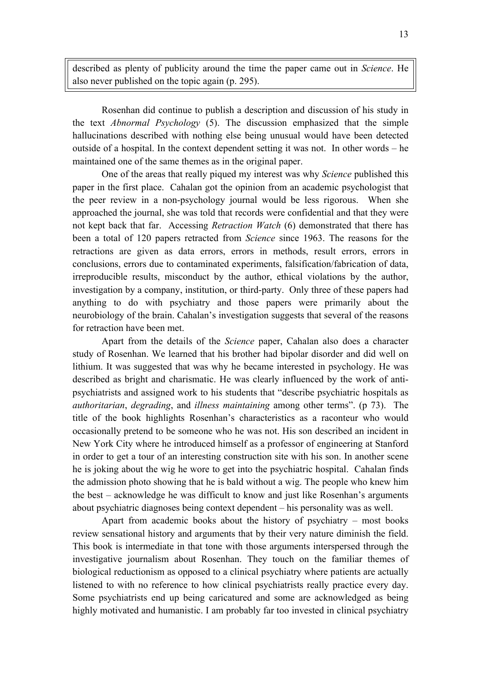described as plenty of publicity around the time the paper came out in *Science*. He also never published on the topic again (p. 295).

Rosenhan did continue to publish a description and discussion of his study in the text *Abnormal Psychology* (5). The discussion emphasized that the simple hallucinations described with nothing else being unusual would have been detected outside of a hospital. In the context dependent setting it was not. In other words – he maintained one of the same themes as in the original paper.

One of the areas that really piqued my interest was why *Science* published this paper in the first place. Cahalan got the opinion from an academic psychologist that the peer review in a non-psychology journal would be less rigorous. When she approached the journal, she was told that records were confidential and that they were not kept back that far. Accessing *Retraction Watch* (6) demonstrated that there has been a total of 120 papers retracted from *Science* since 1963. The reasons for the retractions are given as data errors, errors in methods, result errors, errors in conclusions, errors due to contaminated experiments, falsification/fabrication of data, irreproducible results, misconduct by the author, ethical violations by the author, investigation by a company, institution, or third-party. Only three of these papers had anything to do with psychiatry and those papers were primarily about the neurobiology of the brain. Cahalan's investigation suggests that several of the reasons for retraction have been met.

Apart from the details of the *Science* paper, Cahalan also does a character study of Rosenhan. We learned that his brother had bipolar disorder and did well on lithium. It was suggested that was why he became interested in psychology. He was described as bright and charismatic. He was clearly influenced by the work of antipsychiatrists and assigned work to his students that "describe psychiatric hospitals as *authoritarian*, *degrading*, and *illness maintaining* among other terms". (p 73). The title of the book highlights Rosenhan's characteristics as a raconteur who would occasionally pretend to be someone who he was not. His son described an incident in New York City where he introduced himself as a professor of engineering at Stanford in order to get a tour of an interesting construction site with his son. In another scene he is joking about the wig he wore to get into the psychiatric hospital. Cahalan finds the admission photo showing that he is bald without a wig. The people who knew him the best – acknowledge he was difficult to know and just like Rosenhan's arguments about psychiatric diagnoses being context dependent – his personality was as well.

Apart from academic books about the history of psychiatry – most books review sensational history and arguments that by their very nature diminish the field. This book is intermediate in that tone with those arguments interspersed through the investigative journalism about Rosenhan. They touch on the familiar themes of biological reductionism as opposed to a clinical psychiatry where patients are actually listened to with no reference to how clinical psychiatrists really practice every day. Some psychiatrists end up being caricatured and some are acknowledged as being highly motivated and humanistic. I am probably far too invested in clinical psychiatry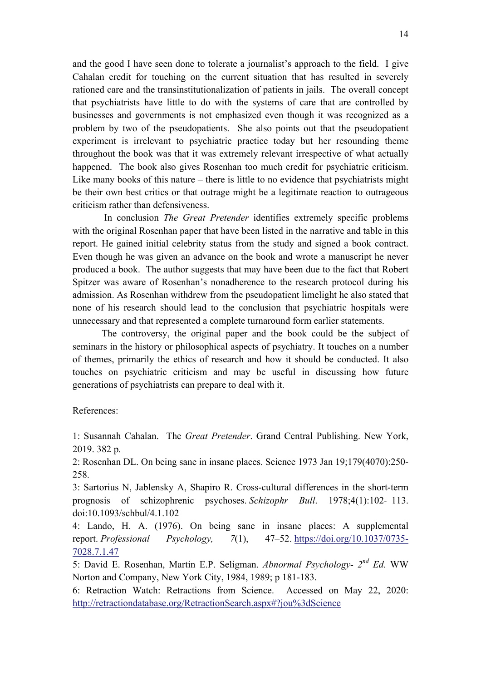and the good I have seen done to tolerate a journalist's approach to the field. I give Cahalan credit for touching on the current situation that has resulted in severely rationed care and the transinstitutionalization of patients in jails. The overall concept that psychiatrists have little to do with the systems of care that are controlled by businesses and governments is not emphasized even though it was recognized as a problem by two of the pseudopatients. She also points out that the pseudopatient experiment is irrelevant to psychiatric practice today but her resounding theme throughout the book was that it was extremely relevant irrespective of what actually happened. The book also gives Rosenhan too much credit for psychiatric criticism. Like many books of this nature – there is little to no evidence that psychiatrists might be their own best critics or that outrage might be a legitimate reaction to outrageous criticism rather than defensiveness.

In conclusion *The Great Pretender* identifies extremely specific problems with the original Rosenhan paper that have been listed in the narrative and table in this report. He gained initial celebrity status from the study and signed a book contract. Even though he was given an advance on the book and wrote a manuscript he never produced a book. The author suggests that may have been due to the fact that Robert Spitzer was aware of Rosenhan's nonadherence to the research protocol during his admission. As Rosenhan withdrew from the pseudopatient limelight he also stated that none of his research should lead to the conclusion that psychiatric hospitals were unnecessary and that represented a complete turnaround form earlier statements.

The controversy, the original paper and the book could be the subject of seminars in the history or philosophical aspects of psychiatry. It touches on a number of themes, primarily the ethics of research and how it should be conducted. It also touches on psychiatric criticism and may be useful in discussing how future generations of psychiatrists can prepare to deal with it.

## References:

1: Susannah Cahalan. The *Great Pretender*. Grand Central Publishing. New York, 2019. 382 p.

2: Rosenhan DL. On being sane in insane places. Science 1973 Jan 19;179(4070):250- 258.

3: Sartorius N, Jablensky A, Shapiro R. Cross-cultural differences in the short-term prognosis of schizophrenic psychoses. *Schizophr Bull*. 1978;4(1):102- 113. doi:10.1093/schbul/4.1.102

4: Lando, H. A. (1976). On being sane in insane places: A supplemental report. *Professional Psychology, 7*(1), 47–52. https://doi.org/10.1037/0735- 7028.7.1.47

5: David E. Rosenhan, Martin E.P. Seligman. *Abnormal Psychology- 2nd Ed.* WW Norton and Company, New York City, 1984, 1989; p 181-183.

6: Retraction Watch: Retractions from Science. Accessed on May 22, 2020: http://retractiondatabase.org/RetractionSearch.aspx#?jou%3dScience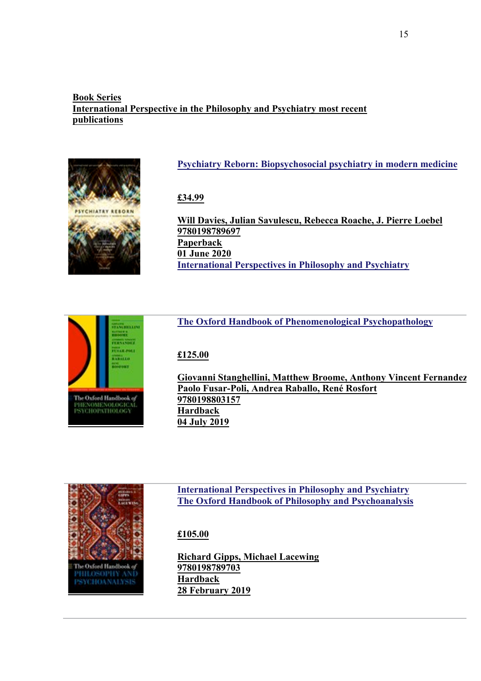## **Book Series International Perspective in the Philosophy and Psychiatry most recent publications**



## **Psychiatry Reborn: Biopsychosocial psychiatry in modern medicine**

**£34.99**

**Will Davies, Julian Savulescu, Rebecca Roache, J. Pierre Loebel 9780198789697 Paperback 01 June 2020 International Perspectives in Philosophy and Psychiatry**

# **The Oxford Handbook of Phenomenological Psychopathology**

## **£125.00**

**Giovanni Stanghellini, Matthew Broome, Anthony Vincent Fernandez, Paolo Fusar-Poli, Andrea Raballo, René Rosfort 9780198803157 Hardback 04 July 2019**



The Oxford Handbook o PHENOMENOLOGICAL<br>PSYCHOPATHOLOGY

> **International Perspectives in Philosophy and Psychiatry The Oxford Handbook of Philosophy and Psychoanalysis**

## **£105.00**

**Richard Gipps, Michael Lacewing 9780198789703 Hardback 28 February 2019**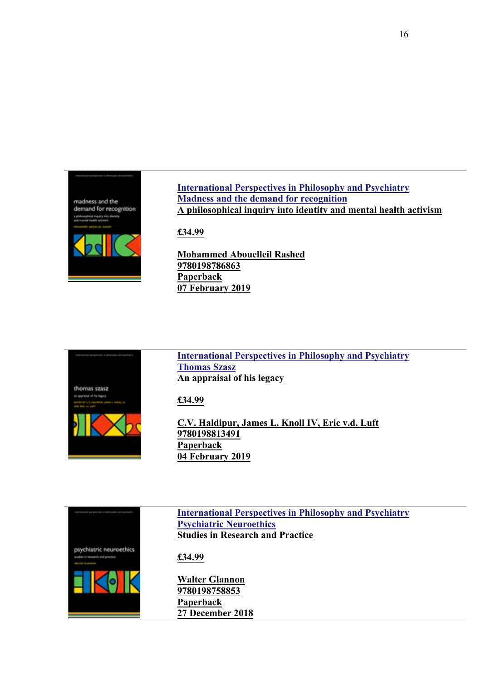

**International Perspectives in Philosophy and Psychiatry Madness and the demand for recognition A philosophical inquiry into identity and mental health activism**

**£34.99**

**Mohammed Abouelleil Rashed 9780198786863 Paperback 07 February 2019**



**International Perspectives in Philosophy and Psychiatry Thomas Szasz An appraisal of his legacy**

**£34.99**

**C.V. Haldipur, James L. Knoll IV, Eric v.d. Luft 9780198813491 Paperback 04 February 2019**



**International Perspectives in Philosophy and Psychiatry Psychiatric Neuroethics Studies in Research and Practice**

**£34.99**

**Walter Glannon 9780198758853 Paperback 27 December 2018**